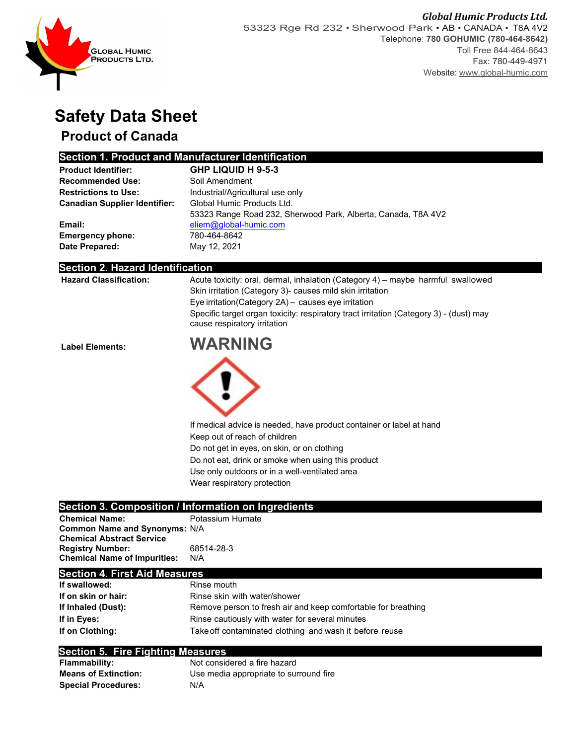

# **Safety Data Sheet**

## **Product of Canada**

### **Section 1. Product and Manufacturer Identification**

| <b>Product Identifier:</b>           | <b>GHP LIQUID H 9-5-3</b>                                     |
|--------------------------------------|---------------------------------------------------------------|
| <b>Recommended Use:</b>              | Soil Amendment                                                |
| <b>Restrictions to Use:</b>          | Industrial/Agricultural use only                              |
| <b>Canadian Supplier Identifier:</b> | Global Humic Products Ltd.                                    |
|                                      | 53323 Range Road 232, Sherwood Park, Alberta, Canada, T8A 4V2 |
| Email:                               | eliem@global-humic.com                                        |
| <b>Emergency phone:</b>              | 780-464-8642                                                  |
| Date Prepared:                       | May 12, 2021                                                  |

#### **Section 2. Hazard Identification**

| <b>Label Elements:</b>        | Specific target organ toxicity: respiratory tract irritation (Category 3) - (dust) may<br>cause respiratory irritation<br><b>WARNING</b>     |
|-------------------------------|----------------------------------------------------------------------------------------------------------------------------------------------|
|                               |                                                                                                                                              |
|                               | Eye irritation(Category 2A) - causes eye irritation                                                                                          |
| <b>Hazard Classification:</b> | Acute toxicity: oral, dermal, inhalation (Category 4) – maybe harmful swallowed<br>Skin irritation (Category 3)- causes mild skin irritation |



If medical advice is needed, have product container or label at hand Keep out of reach of children Do not get in eyes, on skin, or on clothing Do not eat, drink or smoke when using this product Use only outdoors or in a well-ventilated area

Wear respiratory protection

### **Section 3. Composition / Information on Ingredients**

| <b>Chemical Name:</b>                | Potassium Humate |
|--------------------------------------|------------------|
| <b>Common Name and Synonyms: N/A</b> |                  |
| <b>Chemical Abstract Service</b>     |                  |
| <b>Registry Number:</b>              | 68514-28-3       |
| <b>Chemical Name of Impurities:</b>  | N/A              |

#### **Section 4. First Aid Measures**

| If swallowed:       | Rinse mouth                                                   |
|---------------------|---------------------------------------------------------------|
| If on skin or hair: | Rinse skin with water/shower                                  |
| If Inhaled (Dust):  | Remove person to fresh air and keep comfortable for breathing |
| If in Eves:         | Rinse cautiously with water for several minutes               |
| If on Clothing:     | Take off contaminated clothing and wash it before reuse       |

#### **Section 5. Fire Fighting Measures**

| <b>Flammability:</b>        | Not considered a fire hazard           |
|-----------------------------|----------------------------------------|
| <b>Means of Extinction:</b> | Use media appropriate to surround fire |
| <b>Special Procedures:</b>  | N/A                                    |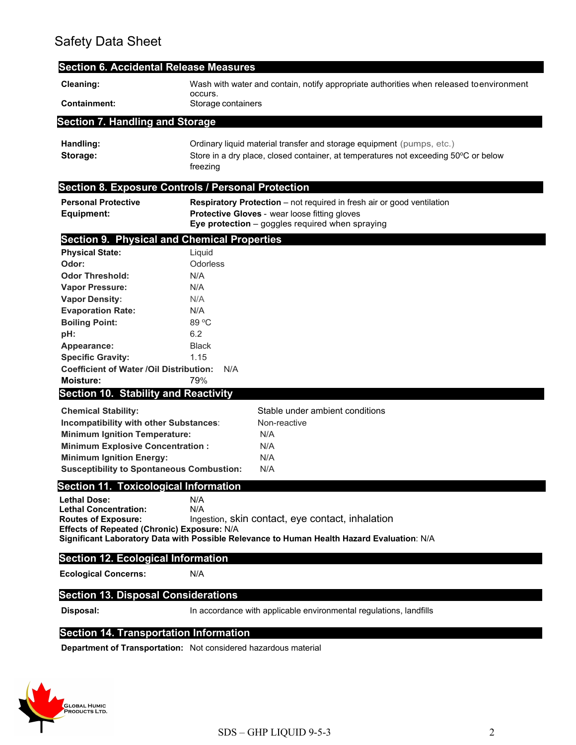## Safety Data Sheet

| <b>Section 6. Accidental Release Measures</b>                              |                                                                                                                                                                                     |
|----------------------------------------------------------------------------|-------------------------------------------------------------------------------------------------------------------------------------------------------------------------------------|
| Cleaning:                                                                  | Wash with water and contain, notify appropriate authorities when released toenvironment<br>occurs.                                                                                  |
| <b>Containment:</b>                                                        | Storage containers                                                                                                                                                                  |
| <b>Section 7. Handling and Storage</b>                                     |                                                                                                                                                                                     |
| Handling:<br>Storage:                                                      | Ordinary liquid material transfer and storage equipment (pumps, etc.)<br>Store in a dry place, closed container, at temperatures not exceeding 50°C or below<br>freezing            |
|                                                                            | Section 8. Exposure Controls / Personal Protection                                                                                                                                  |
| <b>Personal Protective</b><br>Equipment:                                   | <b>Respiratory Protection</b> – not required in fresh air or good ventilation<br>Protective Gloves - wear loose fitting gloves<br>Eye protection $-$ goggles required when spraying |
| <b>Section 9. Physical and Chemical Properties</b>                         |                                                                                                                                                                                     |
| <b>Physical State:</b>                                                     | Liquid                                                                                                                                                                              |
| Odor:                                                                      | Odorless                                                                                                                                                                            |
| <b>Odor Threshold:</b>                                                     | N/A                                                                                                                                                                                 |
| <b>Vapor Pressure:</b>                                                     | N/A<br>N/A                                                                                                                                                                          |
| <b>Vapor Density:</b><br><b>Evaporation Rate:</b>                          | N/A                                                                                                                                                                                 |
| <b>Boiling Point:</b>                                                      | 89 °C                                                                                                                                                                               |
| pH:                                                                        | 6.2                                                                                                                                                                                 |
| Appearance:                                                                | <b>Black</b>                                                                                                                                                                        |
| <b>Specific Gravity:</b>                                                   | 1.15                                                                                                                                                                                |
| <b>Coefficient of Water /Oil Distribution:</b>                             | N/A                                                                                                                                                                                 |
| Moisture:                                                                  | 79%                                                                                                                                                                                 |
| <b>Section 10. Stability and Reactivity</b>                                |                                                                                                                                                                                     |
| <b>Chemical Stability:</b>                                                 | Stable under ambient conditions                                                                                                                                                     |
| Incompatibility with other Substances:                                     | Non-reactive                                                                                                                                                                        |
| <b>Minimum Ignition Temperature:</b>                                       | N/A<br>N/A                                                                                                                                                                          |
| <b>Minimum Explosive Concentration:</b><br><b>Minimum Ignition Energy:</b> | N/A                                                                                                                                                                                 |
| <b>Susceptibility to Spontaneous Combustion:</b>                           | N/A                                                                                                                                                                                 |
| <b>Section 11. Toxicological Information</b>                               |                                                                                                                                                                                     |
| <b>Lethal Dose:</b>                                                        | N/A                                                                                                                                                                                 |
| <b>Lethal Concentration:</b>                                               | N/A                                                                                                                                                                                 |
| <b>Routes of Exposure:</b>                                                 | Ingestion, skin contact, eye contact, inhalation                                                                                                                                    |
| Effects of Repeated (Chronic) Exposure: N/A                                | Significant Laboratory Data with Possible Relevance to Human Health Hazard Evaluation: N/A                                                                                          |
| <b>Section 12. Ecological Information</b>                                  |                                                                                                                                                                                     |
|                                                                            |                                                                                                                                                                                     |
| <b>Ecological Concerns:</b>                                                | N/A                                                                                                                                                                                 |
| <b>Section 13. Disposal Considerations</b>                                 |                                                                                                                                                                                     |
| Disposal:                                                                  | In accordance with applicable environmental regulations, landfills                                                                                                                  |
|                                                                            |                                                                                                                                                                                     |

### **Section 14. Transportation Information**

**Department of Transportation:** Not considered hazardous material